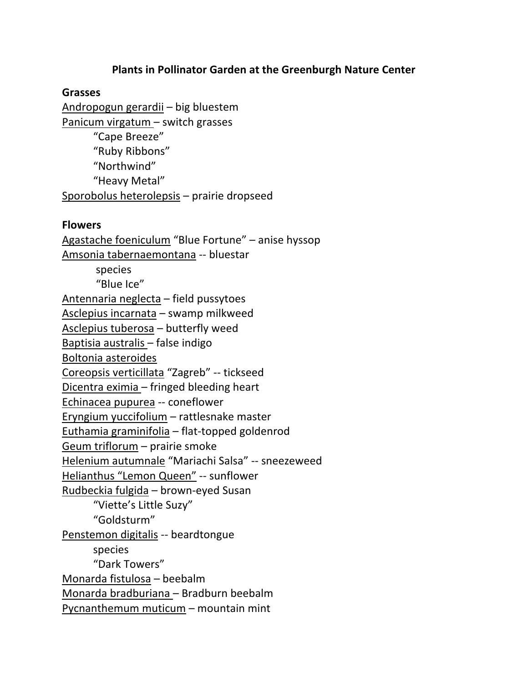### **Plants in Pollinator Garden at the Greenburgh Nature Center**

### **Grasses**

Andropogun gerardii – big bluestem Panicum virgatum – switch grasses "Cape Breeze" "Ruby Ribbons" "Northwind" "Heavy Metal" Sporobolus heterolepsis – prairie dropseed

#### **Flowers**

Agastache foeniculum "Blue Fortune" – anise hyssop Amsonia tabernaemontana -- bluestar species "Blue Ice" Antennaria neglecta – field pussytoes Asclepius incarnata – swamp milkweed Asclepius tuberosa – butterfly weed Baptisia australis – false indigo Boltonia asteroides Coreopsis verticillata "Zagreb" -- tickseed Dicentra eximia – fringed bleeding heart Echinacea pupurea -- coneflower Eryngium yuccifolium – rattlesnake master Euthamia graminifolia – flat-topped goldenrod Geum triflorum – prairie smoke Helenium autumnale "Mariachi Salsa" -- sneezeweed Helianthus "Lemon Queen" -- sunflower Rudbeckia fulgida – brown-eyed Susan "Viette's Little Suzy" "Goldsturm" Penstemon digitalis -- beardtongue species "Dark Towers" Monarda fistulosa – beebalm Monarda bradburiana – Bradburn beebalm Pycnanthemum muticum – mountain mint